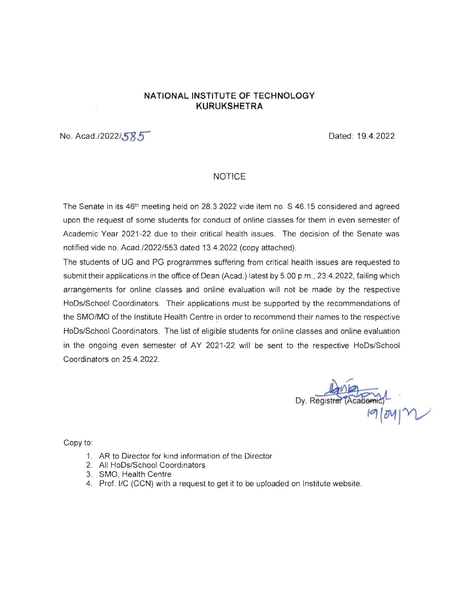## **NATIONAL INSTITUTE OF TECHNOLOGY KURUKSHETRA**

No. Acad./2022/585

## NOTICE

The Senate in its 46th meeting held on 28.3.2022 vide item no. S 46.15 considered and agreed upon the request of some students for conduct of online classes for them in even semester of Academic Year 2021-22 due to their critical health issues. The decision of the Senate was notified vide no. Acad./2022/553 dated 13.4.2022 (copy attached).

The students of UG and PG programmes suffering from critical health issues are requested to submit their applications in the office of Dean (Acad.) latest by 5.00 p.m., 23.4.2022, failing which arrangements for online classes and online evaluation will not be made by the respective HoDs/School Coordinators. Their applications must be supported by the recommendations of the SMO/MO of the Institute Health Centre in order to recommend their names to the respective HoDs/School Coordinators. The list of eligible students for online classes and online evaluation in the ongoing even semester of AY 2021-22 will be sent to the respective HoDs/School Coordinators on 25.4.2022.

Dy. Registral (Academic)

Copy to:

- 1. AR to Director for kind information of the Director
- 2. All HoDs/School Coordinators
- 3. SMO, Health Centre
- 4. Prof. I/C (CCN) with a request to get it to be uploaded on Institute website.